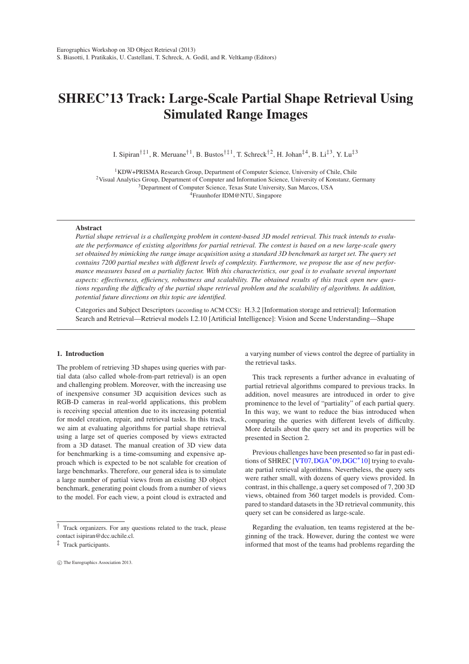# <span id="page-0-0"></span>**SHREC'13 Track: Large-Scale Partial Shape Retrieval Using Simulated Range Images**

I. Sipiran<sup>†‡1</sup>, R. Meruane<sup>†1</sup>, B. Bustos<sup>†‡1</sup>, T. Schreck<sup>†2</sup>, H. Johan<sup>‡4</sup>, B. Li<sup>‡3</sup>, Y. Lu<sup>‡3</sup>

<sup>1</sup>KDW+PRISMA Research Group, Department of Computer Science, University of Chile, Chile Visual Analytics Group, Department of Computer and Information Science, University of Konstanz, Germany Department of Computer Science, Texas State University, San Marcos, USA Fraunhofer IDM@NTU, Singapore

# **Abstract**

*Partial shape retrieval is a challenging problem in content-based 3D model retrieval. This track intends to evaluate the performance of existing algorithms for partial retrieval. The contest is based on a new large-scale query set obtained by mimicking the range image acquisition using a standard 3D benchmark as target set. The query set contains 7200 partial meshes with different levels of complexity. Furthermore, we propose the use of new performance measures based on a partiality factor. With this characteristics, our goal is to evaluate several important aspects: effectiveness, efficiency, robustness and scalability. The obtained results of this track open new questions regarding the difficulty of the partial shape retrieval problem and the scalability of algorithms. In addition, potential future directions on this topic are identified.*

Categories and Subject Descriptors (according to ACM CCS): H.3.2 [Information storage and retrieval]: Information Search and Retrieval—Retrieval models I.2.10 [Artificial Intelligence]: Vision and Scene Understanding—Shape

#### **1. Introduction**

The problem of retrieving 3D shapes using queries with partial data (also called whole-from-part retrieval) is an open and challenging problem. Moreover, with the increasing use of inexpensive consumer 3D acquisition devices such as RGB-D cameras in real-world applications, this problem is receiving special attention due to its increasing potential for model creation, repair, and retrieval tasks. In this track, we aim at evaluating algorithms for partial shape retrieval using a large set of queries composed by views extracted from a 3D dataset. The manual creation of 3D view data for benchmarking is a time-comsuming and expensive approach which is expected to be not scalable for creation of large benchmarks. Therefore, our general idea is to simulate a large number of partial views from an existing 3D object benchmark, generating point clouds from a number of views to the model. For each view, a point cloud is extracted and

a varying number of views control the degree of partiality in the retrieval tasks.

This track represents a further advance in evaluating of partial retrieval algorithms compared to previous tracks. In addition, novel measures are introduced in order to give prominence to the level of "partiality" of each partial query. In this way, we want to reduce the bias introduced when comparing the queries with different levels of difficulty. More details about the query set and its properties will be presented in Section 2.

Previous challenges have been presented so far in past edi-tions of SHREC [\[VT07,](#page-7-0)[DGA](#page-5-0)<sup>\*</sup>09[,DGC](#page-5-1)<sup>\*</sup>10] trying to evaluate partial retrieval algorithms. Nevertheless, the query sets were rather small, with dozens of query views provided. In contrast, in this challenge, a query set composed of 7,200 3D views, obtained from 360 target models is provided. Compared to standard datasets in the 3D retrieval community, this query set can be considered as large-scale.

Regarding the evaluation, ten teams registered at the beginning of the track. However, during the contest we were informed that most of the teams had problems regarding the

<sup>†</sup> Track organizers. For any questions related to the track, please contact isipiran@dcc.uchile.cl.

<sup>‡</sup> Track participants.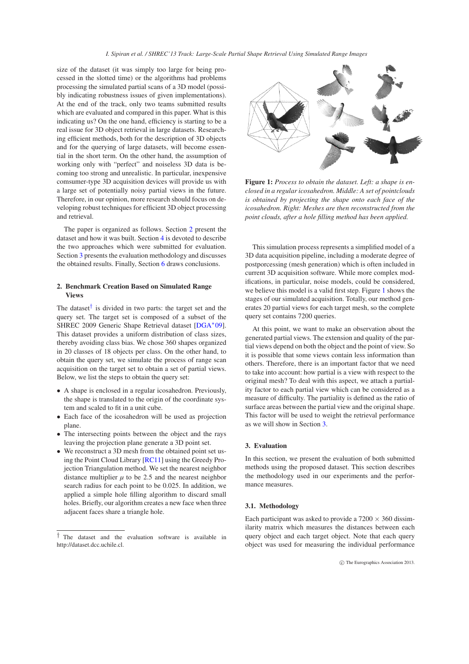*I. Sipiran et al. / SHREC'13 Track: Large-Scale Partial Shape Retrieval Using Simulated Range Images*

<span id="page-1-4"></span>size of the dataset (it was simply too large for being processed in the slotted time) or the algorithms had problems processing the simulated partial scans of a 3D model (possibly indicating robustness issues of given implementations). At the end of the track, only two teams submitted results which are evaluated and compared in this paper. What is this indicating us? On the one hand, efficiency is starting to be a real issue for 3D object retrieval in large datasets. Researching efficient methods, both for the description of 3D objects and for the querying of large datasets, will become essential in the short term. On the other hand, the assumption of working only with "perfect" and noiseless 3D data is becoming too strong and unrealistic. In particular, inexpensive comsumer-type 3D acquisition devices will provide us with a large set of potentially noisy partial views in the future. Therefore, in our opinion, more research should focus on developing robust techniques for efficient 3D object processing and retrieval.

The paper is organized as follows. Section [2](#page-1-0) present the dataset and how it was built. Section [4](#page-2-0) is devoted to describe the two approaches which were submitted for evaluation. Section [3](#page-1-1) presents the evaluation methodology and discusses the obtained results. Finally, Section [6](#page-5-2) draws conclusions.

## <span id="page-1-0"></span>**2. Benchmark Creation Based on Simulated Range Views**

The dataset<sup>[†](#page-1-2)</sup> is divided in two parts: the target set and the query set. The target set is composed of a subset of the SHREC 2009 Generic Shape Retrieval dataset [\[DGA](#page-5-0)<sup>\*</sup>09]. This dataset provides a uniform distribution of class sizes, thereby avoiding class bias. We chose 360 shapes organized in 20 classes of 18 objects per class. On the other hand, to obtain the query set, we simulate the process of range scan acquisition on the target set to obtain a set of partial views. Below, we list the steps to obtain the query set:

- A shape is enclosed in a regular icosahedron. Previously, the shape is translated to the origin of the coordinate system and scaled to fit in a unit cube.
- Each face of the icosahedron will be used as projection plane.
- The intersecting points between the object and the rays leaving the projection plane generate a 3D point set.
- We reconstruct a 3D mesh from the obtained point set using the Point Cloud Library [\[RC11\]](#page-7-1) using the Greedy Projection Triangulation method. We set the nearest neighbor distance multiplier  $\mu$  to be 2.5 and the nearest neighbor search radius for each point to be 0.025. In addition, we applied a simple hole filling algorithm to discard small holes. Briefly, our algorithm creates a new face when three adjacent faces share a triangle hole.



<span id="page-1-3"></span>**Figure 1:** *Process to obtain the dataset. Left: a shape is enclosed in a regular icosahedron. Middle: A set of pointclouds is obtained by projecting the shape onto each face of the icosahedron. Right: Meshes are then reconstructed from the point clouds, after a hole filling method has been applied.*

This simulation process represents a simplified model of a 3D data acquisition pipeline, including a moderate degree of postporcessing (mesh generation) which is often included in current 3D acquisition software. While more complex modifications, in particular, noise models, could be considered, we believe this model is a valid first step. Figure [1](#page-1-3) shows the stages of our simulated acquisition. Totally, our method generates 20 partial views for each target mesh, so the complete query set contains 7200 queries.

At this point, we want to make an observation about the generated partial views. The extension and quality of the partial views depend on both the object and the point of view. So it is possible that some views contain less information than others. Therefore, there is an important factor that we need to take into account: how partial is a view with respect to the original mesh? To deal with this aspect, we attach a partiality factor to each partial view which can be considered as a measure of difficulty. The partiality is defined as the ratio of surface areas between the partial view and the original shape. This factor will be used to weight the retrieval performance as we will show in Section [3.](#page-1-1)

## <span id="page-1-1"></span>**3. Evaluation**

In this section, we present the evaluation of both submitted methods using the proposed dataset. This section describes the methodology used in our experiments and the performance measures.

## **3.1. Methodology**

Each participant was asked to provide a  $7200 \times 360$  dissimilarity matrix which measures the distances between each query object and each target object. Note that each query object was used for measuring the individual performance

<span id="page-1-2"></span><sup>†</sup> The dataset and the evaluation software is available in http://dataset.dcc.uchile.cl.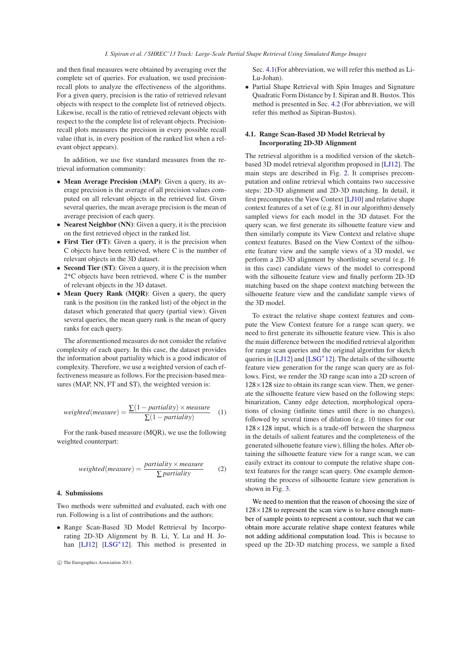<span id="page-2-2"></span>and then final measures were obtained by averaging over the complete set of queries. For evaluation, we used precisionrecall plots to analyze the effectiveness of the algorithms. For a given query, precision is the ratio of retrieved relevant objects with respect to the complete list of retrieved objects. Likewise, recall is the ratio of retrieved relevant objects with respect to the the complete list of relevant objects. Precisionrecall plots measures the precision in every possible recall value (that is, in every position of the ranked list when a relevant object appears).

In addition, we use five standard measures from the retrieval information community:

- **Mean Average Precision (MAP)**: Given a query, its average precision is the average of all precision values computed on all relevant objects in the retrieved list. Given several queries, the mean average precision is the mean of average precision of each query.
- **Nearest Neighbor (NN)**: Given a query, it is the precision on the first retrieved object in the ranked list.
- **First Tier (FT)**: Given a query, it is the precision when C objects have been retrieved, where C is the number of relevant objects in the 3D dataset.
- **Second Tier (ST)**: Given a query, it is the precision when 2\*C objects have been retrieved, where C is the number of relevant objects in the 3D dataset.
- **Mean Query Rank (MQR)**: Given a query, the query rank is the position (in the ranked list) of the object in the dataset which generated that query (partial view). Given several queries, the mean query rank is the mean of query ranks for each query.

The aforementioned measures do not consider the relative complexity of each query. In this case, the dataset provides the information about partiality which is a good indicator of complexity. Therefore, we use a weighted version of each effectiveness measure as follows. For the precision-based measures (MAP, NN, FT and ST), the weighted version is:

$$
weighted(measure) = \frac{\sum (1-partiality) \times measure}{\sum (1-partiality)} \quad (1)
$$

For the rank-based measure (MQR), we use the following weighted counterpart:

$$
weighted(measure) = \frac{partially \times measure}{\sum partiality}
$$
 (2)

#### <span id="page-2-0"></span>**4. Submissions**

Two methods were submitted and evaluated, each with one run. Following is a list of contributions and the authors:

• Range Scan-Based 3D Model Rettrieval by Incorporating 2D-3D Alignment by B. Li, Y, Lu and H. Jo-han [\[LJ12\]](#page-5-3) [\[LSG](#page-7-2)<sup>\*</sup>12]. This method is presented in Sec. [4.1\(](#page-2-1)For abbreviation, we will refer this method as Li-Lu-Johan).

• Partial Shape Retrieval with Spin Images and Signature Quadratic Form Distance by I. Sipiran and B. Bustos. This method is presented in Sec. [4.2](#page-3-0) (For abbreviation, we will refer this method as Sipiran-Bustos).

# <span id="page-2-1"></span>**4.1. Range Scan-Based 3D Model Retrieval by Incorporating 2D-3D Alignment**

The retrieval algorithm is a modified version of the sketchbased 3D model retrieval algorithm proposed in [\[LJ12\]](#page-5-3). The main steps are described in Fig. [2.](#page-3-1) It comprises precomputation and online retrieval which contains two successive steps: 2D-3D alignment and 2D-3D matching. In detail, it first precomputes the View Context [\[LJ10\]](#page-5-4) and relative shape context features of a set of (e.g. 81 in our algorithm) densely sampled views for each model in the 3D dataset. For the query scan, we first generate its silhouette feature view and then similarly compute its View Context and relative shape context features. Based on the View Context of the silhouette feature view and the sample views of a 3D model, we perform a 2D-3D alignment by shortlisting several (e.g. 16 in this case) candidate views of the model to correspond with the silhouette feature view and finally perform 2D-3D matching based on the shape context matching between the silhouette feature view and the candidate sample views of the 3D model.

To extract the relative shape context features and compute the View Context feature for a range scan query, we need to first generate its silhouette feature view. This is also the main difference between the modified retrieval algorithm for range scan queries and the original algorithm for sketch queries in [\[LJ12\]](#page-5-3) and [\[LSG](#page-7-2)<sup>\*</sup>12]. The details of the silhouette feature view generation for the range scan query are as follows. First, we render the 3D range scan into a 2D screen of  $128\times128$  size to obtain its range scan view. Then, we generate the silhouette feature view based on the following steps: binarization, Canny edge detection, morphological operations of closing (infinite times until there is no changes), followed by several times of dilation (e.g. 10 times for our  $128 \times 128$  input, which is a trade-off between the sharpness in the details of salient features and the completeness of the generated silhouette feature view), filling the holes. After obtaining the silhouette feature view for a range scan, we can easily extract its contour to compute the relative shape context features for the range scan query. One example demonstrating the process of silhouette feature view generation is shown in Fig. [3.](#page-3-2)

We need to mention that the reason of choosing the size of  $128\times128$  to represent the scan view is to have enough number of sample points to represent a contour, such that we can obtain more accurate relative shape context features while not adding additional computation load. This is because to speed up the 2D-3D matching process, we sample a fixed

c The Eurographics Association 2013.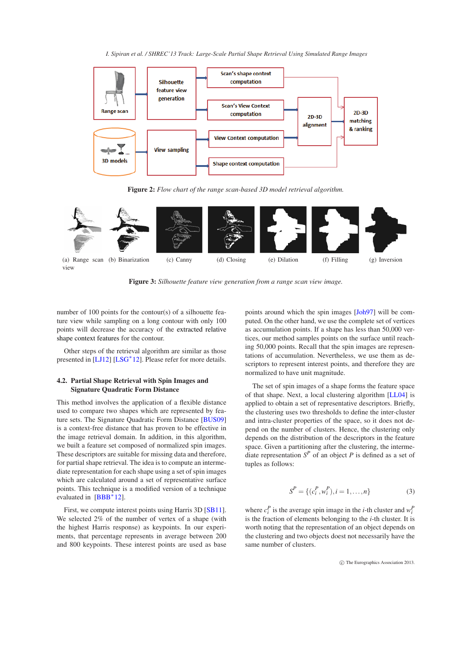*I. Sipiran et al. / SHREC'13 Track: Large-Scale Partial Shape Retrieval Using Simulated Range Images*

<span id="page-3-3"></span>

<span id="page-3-1"></span>**Figure 2:** *Flow chart of the range scan-based 3D model retrieval algorithm.*



<span id="page-3-2"></span>**Figure 3:** *Silhouette feature view generation from a range scan view image.*

number of 100 points for the contour(s) of a silhouette feature view while sampling on a long contour with only 100 points will decrease the accuracy of the extracted relative shape context features for the contour.

Other steps of the retrieval algorithm are similar as those presented in [\[LJ12\]](#page-5-3) [\[LSG](#page-7-2)<sup>\*</sup>12]. Please refer for more details.

# <span id="page-3-0"></span>**4.2. Partial Shape Retrieval with Spin Images and Signature Quadratic Form Distance**

This method involves the application of a flexible distance used to compare two shapes which are represented by feature sets. The Signature Quadratic Form Distance [\[BUS09\]](#page-5-5) is a context-free distance that has proven to be effective in the image retrieval domain. In addition, in this algorithm, we built a feature set composed of normalized spin images. These descriptors are suitable for missing data and therefore, for partial shape retrieval. The idea is to compute an intermediate representation for each shape using a set of spin images which are calculated around a set of representative surface points. This technique is a modified version of a technique evaluated in  $[BBB^*12]$ .

First, we compute interest points using Harris 3D [\[SB11\]](#page-7-3). We selected 2% of the number of vertex of a shape (with the highest Harris response) as keypoints. In our experiments, that percentage represents in average between 200 and 800 keypoints. These interest points are used as base

points around which the spin images [\[Joh97\]](#page-5-7) will be computed. On the other hand, we use the complete set of vertices as accumulation points. If a shape has less than 50,000 vertices, our method samples points on the surface until reaching 50,000 points. Recall that the spin images are representations of accumulation. Nevertheless, we use them as descriptors to represent interest points, and therefore they are normalized to have unit magnitude.

The set of spin images of a shape forms the feature space of that shape. Next, a local clustering algorithm [\[LL04\]](#page-5-8) is applied to obtain a set of representative descriptors. Briefly, the clustering uses two thresholds to define the inter-cluster and intra-cluster properties of the space, so it does not depend on the number of clusters. Hence, the clustering only depends on the distribution of the descriptors in the feature space. Given a partitioning after the clustering, the intermediate representation  $S^P$  of an object *P* is defined as a set of tuples as follows:

$$
S^{P} = \{ (c_{i}^{P}, w_{i}^{P}), i = 1, ..., n \}
$$
 (3)

where  $c_i^P$  is the average spin image in the *i*-th cluster and  $w_i^P$ is the fraction of elements belonging to the *i*-th cluster. It is worth noting that the representation of an object depends on the clustering and two objects doest not necessarily have the same number of clusters.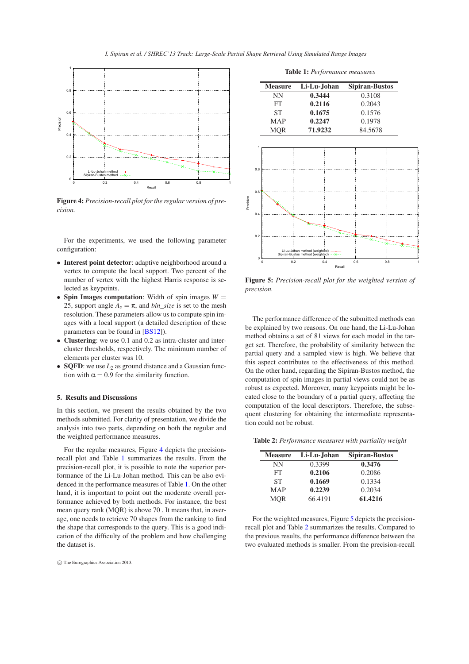<span id="page-4-4"></span>

<span id="page-4-0"></span>**Figure 4:** *Precision-recall plot for the regular version of precision.*

For the experiments, we used the following parameter configuration:

- **Interest point detector**: adaptive neighborhood around a vertex to compute the local support. Two percent of the number of vertex with the highest Harris response is selected as keypoints.
- **Spin Images computation:** Width of spin images  $W =$ 25, support angle  $A_s = \pi$ , and *bin\_size* is set to the mesh resolution. These parameters allow us to compute spin images with a local support (a detailed description of these parameters can be found in [\[BS12\]](#page-5-9)).
- **Clustering**: we use 0.1 and 0.2 as intra-cluster and intercluster thresholds, respectively. The minimum number of elements per cluster was 10.
- **SQFD**: we use *L*<sup>2</sup> as ground distance and a Gaussian function with  $\alpha = 0.9$  for the similarity function.

## **5. Results and Discussions**

In this section, we present the results obtained by the two methods submitted. For clarity of presentation, we divide the analysis into two parts, depending on both the regular and the weighted performance measures.

For the regular measures, Figure [4](#page-4-0) depicts the precisionrecall plot and Table [1](#page-4-1) summarizes the results. From the precision-recall plot, it is possible to note the superior performance of the Li-Lu-Johan method. This can be also evidenced in the performance measures of Table [1.](#page-4-1) On the other hand, it is important to point out the moderate overall performance achieved by both methods. For instance, the best mean query rank (MQR) is above 70 . It means that, in average, one needs to retrieve 70 shapes from the ranking to find the shape that corresponds to the query. This is a good indication of the difficulty of the problem and how challenging the dataset is.

<span id="page-4-1"></span>**Table 1:** *Performance measures*

| <b>Measure</b> | Li-Lu-Johan | <b>Sipiran-Bustos</b> |
|----------------|-------------|-----------------------|
| NΝ             | 0.3444      | 0.3108                |
| FT             | 0.2116      | 0.2043                |
| <b>ST</b>      | 0.1675      | 0.1576                |
| <b>MAP</b>     | 0.2247      | 0.1978                |
| <b>MOR</b>     | 71.9232     | 84.5678               |



<span id="page-4-2"></span>**Figure 5:** *Precision-recall plot for the weighted version of precision.*

The performance difference of the submitted methods can be explained by two reasons. On one hand, the Li-Lu-Johan method obtains a set of 81 views for each model in the target set. Therefore, the probability of similarity between the partial query and a sampled view is high. We believe that this aspect contributes to the effectiveness of this method. On the other hand, regarding the Sipiran-Bustos method, the computation of spin images in partial views could not be as robust as expected. Moreover, many keypoints might be located close to the boundary of a partial query, affecting the computation of the local descriptors. Therefore, the subsequent clustering for obtaining the intermediate representation could not be robust.

**Table 2:** *Performance measures with partiality weight*

<span id="page-4-3"></span>

| <b>Measure</b> | Li-Lu-Johan | <b>Sipiran-Bustos</b> |
|----------------|-------------|-----------------------|
| NΝ             | 0.3399      | 0.3476                |
| FT             | 0.2106      | 0.2086                |
| SТ             | 0.1669      | 0.1334                |
| <b>MAP</b>     | 0.2239      | 0.2034                |
| <b>MOR</b>     | 66.4191     | 61.4216               |

For the weighted measures, Figure [5](#page-4-2) depicts the precisionrecall plot and Table [2](#page-4-3) summarizes the results. Compared to the previous results, the performance difference between the two evaluated methods is smaller. From the precision-recall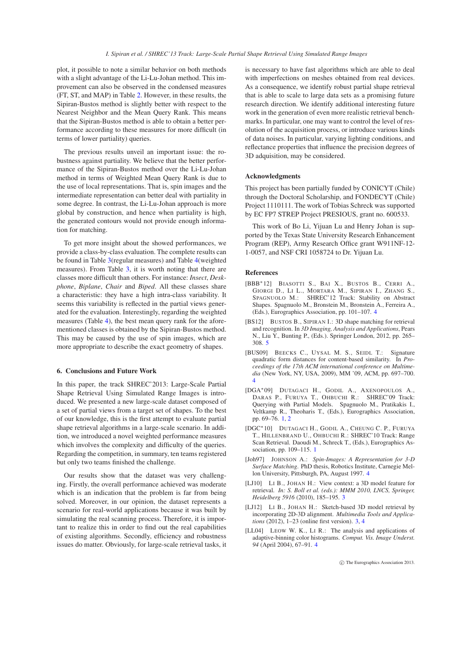plot, it possible to note a similar behavior on both methods with a slight advantage of the Li-Lu-Johan method. This improvement can also be observed in the condensed measures (FT, ST, and MAP) in Table [2.](#page-4-3) However, in these results, the Sipiran-Bustos method is slightly better with respect to the Nearest Neighbor and the Mean Query Rank. This means that the Sipiran-Bustos method is able to obtain a better performance according to these measures for more difficult (in terms of lower partiality) queries.

The previous results unveil an important issue: the robustness against partiality. We believe that the better performance of the Sipiran-Bustos method over the Li-Lu-Johan method in terms of Weighted Mean Query Rank is due to the use of local representations. That is, spin images and the intermediate representation can better deal with partiality in some degree. In contrast, the Li-Lu-Johan approach is more global by construction, and hence when partiality is high, the generated contours would not provide enough information for matching.

To get more insight about the showed performances, we provide a class-by-class evaluation. The complete results can be found in Table [3\(](#page-6-0)regular measures) and Table [4\(](#page-6-1)weighted measures). From Table [3,](#page-6-0) it is worth noting that there are classes more difficult than others. For instance: *Insect*, *Deskphone*, *Biplane*, *Chair* and *Biped*. All these classes share a characteristic: they have a high intra-class variability. It seems this variability is reflected in the partial views generated for the evaluation. Interestingly, regarding the weighted measures (Table [4\)](#page-6-1), the best mean query rank for the aforementioned classes is obtained by the Sipiran-Bustos method. This may be caused by the use of spin images, which are more appropriate to describe the exact geometry of shapes.

#### <span id="page-5-2"></span>**6. Conclusions and Future Work**

In this paper, the track SHREC'2013: Large-Scale Partial Shape Retrieval Using Simulated Range Images is introduced. We presented a new large-scale dataset composed of a set of partial views from a target set of shapes. To the best of our knowledge, this is the first attempt to evaluate partial shape retrieval algorithms in a large-scale scenario. In addition, we introduced a novel weighted performance measures which involves the complexity and difficulty of the queries. Regarding the competition, in summary, ten teams registered but only two teams finished the challenge.

Our results show that the dataset was very challenging. Firstly, the overall performance achieved was moderate which is an indication that the problem is far from being solved. Moreover, in our opinion, the dataset represents a scenario for real-world applications because it was built by simulating the real scanning process. Therefore, it is important to realize this in order to find out the real capabilities of existing algorithms. Secondly, efficiency and robustness issues do matter. Obviously, for large-scale retrieval tasks, it

is necessary to have fast algorithms which are able to deal with imperfections on meshes obtained from real devices. As a consequence, we identify robust partial shape retrieval that is able to scale to large data sets as a promising future research direction. We identify additional interesting future work in the generation of even more realistic retrieval benchmarks. In particular, one may want to control the level of resolution of the acquisition process, or introduce various kinds of data noises. In particular, varying lighting conditions, and reflectance properties that influence the precision degrees of 3D adquisition, may be considered.

#### **Acknowledgments**

This project has been partially funded by CONICYT (Chile) through the Doctoral Scholarship, and FONDECYT (Chile) Project 1110111. The work of Tobias Schreck was supported by EC FP7 STREP Project PRESIOUS, grant no. 600533.

This work of Bo Li, Yijuan Lu and Henry Johan is supported by the Texas State University Research Enhancement Program (REP), Army Research Office grant W911NF-12- 1-0057, and NSF CRI 1058724 to Dr. Yijuan Lu.

## **References**

- <span id="page-5-6"></span>[BBB∗12] BIASOTTI S., BAI X., BUSTOS B., CERRI A., GIORGI D., LI L., MORTARA M., SIPIRAN I., ZHANG S., SPAGNUOLO M.: SHREC'12 Track: Stability on Abstract Shapes. Spagnuolo M., Bronstein M., Bronstein A., Ferreira A., (Eds.), Eurographics Association, pp. 101–107. [4](#page-3-3)
- <span id="page-5-9"></span>[BS12] BUSTOS B., SIPIRAN I.: 3D shape matching for retrieval and recognition. In *3D Imaging, Analysis and Applications*, Pears N., Liu Y., Bunting P., (Eds.). Springer London, 2012, pp. 265– 308. [5](#page-4-4)
- <span id="page-5-5"></span>[BUS09] BEECKS C., UYSAL M. S., SEIDL T.: Signature quadratic form distances for content-based similarity. In *Proceedings of the 17th ACM international conference on Multimedia* (New York, NY, USA, 2009), MM '09, ACM, pp. 697–700. [4](#page-3-3)
- <span id="page-5-0"></span>[DGA∗09] DUTAGACI H., GODIL A., AXENOPOULOS A., DARAS P., FURUYA T., OHBUCHI R.: SHREC'09 Track: Querying with Partial Models. Spagnuolo M., Pratikakis I., Veltkamp R., Theoharis T., (Eds.), Eurographics Association, pp. 69–76. [1,](#page-0-0) [2](#page-1-4)
- <span id="page-5-1"></span>[DGC∗10] DUTAGACI H., GODIL A., CHEUNG C. P., FURUYA T., HILLENBRAND U., OHBUCHI R.: SHREC'10 Track: Range Scan Retrieval. Daoudi M., Schreck T., (Eds.), Eurographics Association, pp. 109–115. [1](#page-0-0)
- <span id="page-5-7"></span>[Joh97] JOHNSON A.: *Spin-Images: A Representation for 3-D Surface Matching*. PhD thesis, Robotics Institute, Carnegie Mellon University, Pittsburgh, PA, August 1997. [4](#page-3-3)
- <span id="page-5-4"></span>[LJ10] LI B., JOHAN H.: View context: a 3D model feature for retrieval. *In: S. Boll et al. (eds.): MMM 2010, LNCS, Springer, Heidelberg 5916* (2010), 185–195. [3](#page-2-2)
- <span id="page-5-3"></span>[LJ12] LI B., JOHAN H.: Sketch-based 3D model retrieval by incorporating 2D-3D alignment. *Multimedia Tools and Applications* (2012), 1–23 (online first version). [3,](#page-2-2) [4](#page-3-3)
- <span id="page-5-8"></span>[LL04] LEOW W. K., LI R.: The analysis and applications of adaptive-binning color histograms. *Comput. Vis. Image Underst. 94* (April 2004), 67–91. [4](#page-3-3)

c The Eurographics Association 2013.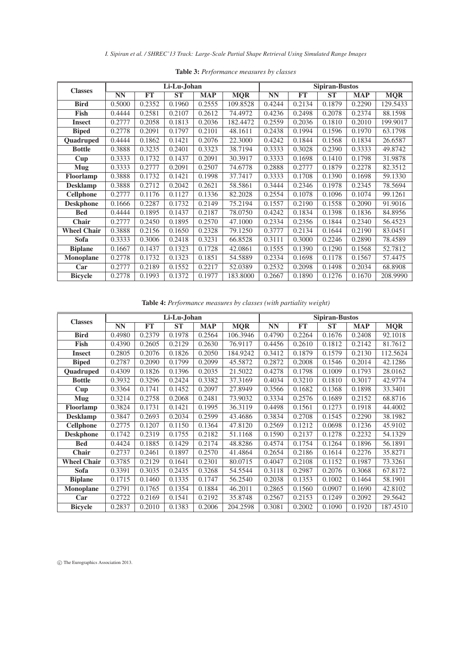*I. Sipiran et al. / SHREC'13 Track: Large-Scale Partial Shape Retrieval Using Simulated Range Images*

| <b>Classes</b>     | Li-Lu-Johan |           |           |            |            | <b>Sipiran-Bustos</b> |           |           |            |            |  |
|--------------------|-------------|-----------|-----------|------------|------------|-----------------------|-----------|-----------|------------|------------|--|
|                    | <b>NN</b>   | <b>FT</b> | <b>ST</b> | <b>MAP</b> | <b>MQR</b> | <b>NN</b>             | <b>FT</b> | <b>ST</b> | <b>MAP</b> | <b>MQR</b> |  |
| <b>Bird</b>        | 0.5000      | 0.2352    | 0.1960    | 0.2555     | 109.8528   | 0.4244                | 0.2134    | 0.1879    | 0.2290     | 129.5433   |  |
| Fish               | 0.4444      | 0.2581    | 0.2107    | 0.2612     | 74.4972    | 0.4236                | 0.2498    | 0.2078    | 0.2374     | 88.1598    |  |
| <b>Insect</b>      | 0.2777      | 0.2058    | 0.1813    | 0.2036     | 182.4472   | 0.2559                | 0.2036    | 0.1810    | 0.2010     | 199.9017   |  |
| <b>Biped</b>       | 0.2778      | 0.2091    | 0.1797    | 0.2101     | 48.1611    | 0.2438                | 0.1994    | 0.1596    | 0.1970     | 63.1798    |  |
| Quadruped          | 0.4444      | 0.1862    | 0.1421    | 0.2076     | 22.3000    | 0.4242                | 0.1844    | 0.1568    | 0.1834     | 26.6587    |  |
| <b>Bottle</b>      | 0.3888      | 0.3235    | 0.2401    | 0.3323     | 38.7194    | 0.3333                | 0.3028    | 0.2390    | 0.3333     | 49.8742    |  |
| Cup                | 0.3333      | 0.1732    | 0.1437    | 0.2091     | 30.3917    | 0.3333                | 0.1698    | 0.1410    | 0.1798     | 31.9878    |  |
| <b>Mug</b>         | 0.3333      | 0.2777    | 0.2091    | 0.2507     | 74.6778    | 0.2888                | 0.2777    | 0.1879    | 0.2278     | 82.3512    |  |
| Floorlamp          | 0.3888      | 0.1732    | 0.1421    | 0.1998     | 37.7417    | 0.3333                | 0.1708    | 0.1390    | 0.1698     | 59.1330    |  |
| <b>Desklamp</b>    | 0.3888      | 0.2712    | 0.2042    | 0.2621     | 58.5861    | 0.3444                | 0.2346    | 0.1978    | 0.2345     | 78.5694    |  |
| <b>Cellphone</b>   | 0.2777      | 0.1176    | 0.1127    | 0.1336     | 82.2028    | 0.2554                | 0.1078    | 0.1096    | 0.1074     | 99.1261    |  |
| <b>Deskphone</b>   | 0.1666      | 0.2287    | 0.1732    | 0.2149     | 75.2194    | 0.1557                | 0.2190    | 0.1558    | 0.2090     | 91.9016    |  |
| <b>Bed</b>         | 0.4444      | 0.1895    | 0.1437    | 0.2187     | 78.0750    | 0.4242                | 0.1834    | 0.1398    | 0.1836     | 84.8956    |  |
| Chair              | 0.2777      | 0.2450    | 0.1895    | 0.2570     | 47.1000    | 0.2334                | 0.2356    | 0.1844    | 0.2340     | 56.4523    |  |
| <b>Wheel Chair</b> | 0.3888      | 0.2156    | 0.1650    | 0.2328     | 79.1250    | 0.3777                | 0.2134    | 0.1644    | 0.2190     | 83.0451    |  |
| Sofa               | 0.3333      | 0.3006    | 0.2418    | 0.3231     | 66.8528    | 0.3111                | 0.3000    | 0.2246    | 0.2890     | 78.4589    |  |
| <b>Biplane</b>     | 0.1667      | 0.1437    | 0.1323    | 0.1728     | 42.0861    | 0.1555                | 0.1390    | 0.1290    | 0.1568     | 52.7812    |  |
| <b>Monoplane</b>   | 0.2778      | 0.1732    | 0.1323    | 0.1851     | 54.5889    | 0.2334                | 0.1698    | 0.1178    | 0.1567     | 57.4475    |  |
| Car                | 0.2777      | 0.2189    | 0.1552    | 0.2217     | 52.0389    | 0.2532                | 0.2098    | 0.1498    | 0.2034     | 68.8908    |  |
| <b>Bicycle</b>     | 0.2778      | 0.1993    | 0.1372    | 0.1977     | 183.8000   | 0.2667                | 0.1890    | 0.1276    | 0.1670     | 208.9990   |  |

<span id="page-6-0"></span>**Table 3:** *Performance measures by classes*

<span id="page-6-1"></span>**Table 4:** *Performance measures by classes (with partiality weight)*

| <b>Classes</b>                   | Li-Lu-Johan |           |           |            |            | <b>Sipiran-Bustos</b> |           |           |            |            |  |
|----------------------------------|-------------|-----------|-----------|------------|------------|-----------------------|-----------|-----------|------------|------------|--|
|                                  | <b>NN</b>   | <b>FT</b> | <b>ST</b> | <b>MAP</b> | <b>MQR</b> | <b>NN</b>             | <b>FT</b> | <b>ST</b> | <b>MAP</b> | <b>MQR</b> |  |
| <b>Bird</b>                      | 0.4980      | 0.2379    | 0.1978    | 0.2564     | 106.3946   | 0.4790                | 0.2264    | 0.1676    | 0.2408     | 92.1018    |  |
| Fish                             | 0.4390      | 0.2605    | 0.2129    | 0.2630     | 76.9117    | 0.4456                | 0.2610    | 0.1812    | 0.2142     | 81.7612    |  |
| <b>Insect</b>                    | 0.2805      | 0.2076    | 0.1826    | 0.2050     | 184.9242   | 0.3412                | 0.1879    | 0.1579    | 0.2130     | 112.5624   |  |
| <b>Biped</b>                     | 0.2787      | 0.2090    | 0.1799    | 0.2099     | 45.5872    | 0.2872                | 0.2008    | 0.1546    | 0.2014     | 42.1286    |  |
| Quadruped                        | 0.4309      | 0.1826    | 0.1396    | 0.2035     | 21.5022    | 0.4278                | 0.1798    | 0.1009    | 0.1793     | 28.0162    |  |
| <b>Bottle</b>                    | 0.3932      | 0.3296    | 0.2424    | 0.3382     | 37.3169    | 0.4034                | 0.3210    | 0.1810    | 0.3017     | 42.9774    |  |
| Cup                              | 0.3364      | 0.1741    | 0.1452    | 0.2097     | 27.8949    | 0.3566                | 0.1682    | 0.1368    | 0.1898     | 33.3401    |  |
| <b>Mug</b>                       | 0.3214      | 0.2758    | 0.2068    | 0.2481     | 73.9032    | 0.3334                | 0.2576    | 0.1689    | 0.2152     | 68.8716    |  |
| Floorlamp                        | 0.3824      | 0.1731    | 0.1421    | 0.1995     | 36.3119    | 0.4498                | 0.1561    | 0.1273    | 0.1918     | 44.4002    |  |
| <b>Desklamp</b>                  | 0.3847      | 0.2693    | 0.2034    | 0.2599     | 43.4686    | 0.3834                | 0.2708    | 0.1545    | 0.2290     | 38.1982    |  |
| $\overline{\mathbf{C}}$ ellphone | 0.2775      | 0.1207    | 0.1150    | 0.1364     | 47.8120    | 0.2569                | 0.1212    | 0.0698    | 0.1236     | 45.9102    |  |
| <b>Deskphone</b>                 | 0.1742      | 0.2319    | 0.1755    | 0.2182     | 51.1168    | 0.1590                | 0.2137    | 0.1278    | 0.2232     | 54.1329    |  |
| <b>Bed</b>                       | 0.4424      | 0.1885    | 0.1429    | 0.2174     | 48.8286    | 0.4574                | 0.1754    | 0.1264    | 0.1896     | 56.1891    |  |
| <b>Chair</b>                     | 0.2737      | 0.2461    | 0.1897    | 0.2570     | 41.4864    | 0.2654                | 0.2186    | 0.1614    | 0.2276     | 35.8271    |  |
| <b>Wheel Chair</b>               | 0.3785      | 0.2129    | 0.1641    | 0.2301     | 80.0715    | 0.4047                | 0.2108    | 0.1152    | 0.1987     | 73.3261    |  |
| Sofa                             | 0.3391      | 0.3035    | 0.2435    | 0.3268     | 54.5544    | 0.3118                | 0.2987    | 0.2076    | 0.3068     | 67.8172    |  |
| <b>Biplane</b>                   | 0.1715      | 0.1460    | 0.1335    | 0.1747     | 56.2540    | 0.2038                | 0.1353    | 0.1002    | 0.1464     | 58.1901    |  |
| <b>Monoplane</b>                 | 0.2791      | 0.1765    | 0.1354    | 0.1884     | 46.2011    | 0.2865                | 0.1560    | 0.0907    | 0.1690     | 42.8102    |  |
| Car                              | 0.2722      | 0.2169    | 0.1541    | 0.2192     | 35.8748    | 0.2567                | 0.2153    | 0.1249    | 0.2092     | 29.5642    |  |
| <b>Bicycle</b>                   | 0.2837      | 0.2010    | 0.1383    | 0.2006     | 204.2598   | 0.3081                | 0.2002    | 0.1090    | 0.1920     | 187.4510   |  |

c The Eurographics Association 2013.